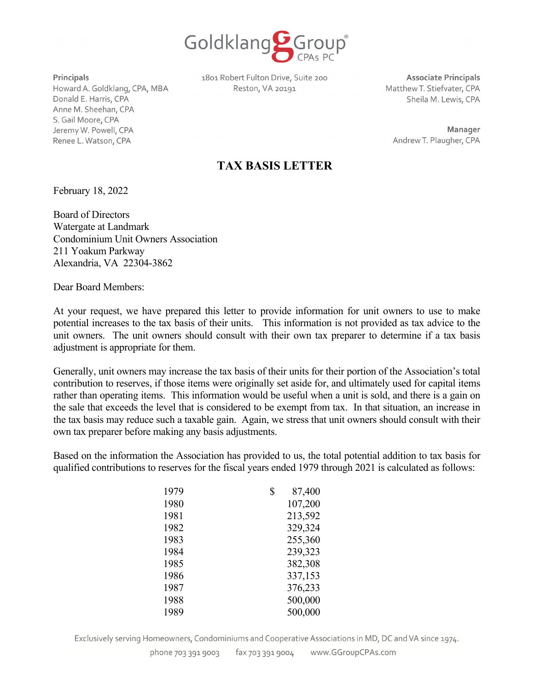

**Principals** 

Howard A. Goldklang, CPA, MBA Donald E. Harris, CPA Anne M. Sheehan, CPA S. Gail Moore, CPA JeremyW. Powell, CPA Renee L. Watson, CPA

1801 Robert Fulton Drive, Suite 200 Reston, VA 20191

**Associate Principals**  MatthewT. Stiefvater, CPA Sheila M. Lewis, CPA

**Manager**  AndrewT. Plaugher, CPA

## **TAX BASIS LETTER**

February 18, 2022

Board of Directors Watergate at Landmark Condominium Unit Owners Association 211 Yoakum Parkway Alexandria, VA 22304-3862

Dear Board Members:

At your request, we have prepared this letter to provide information for unit owners to use to make potential increases to the tax basis of their units. This information is not provided as tax advice to the unit owners. The unit owners should consult with their own tax preparer to determine if a tax basis adjustment is appropriate for them.

Generally, unit owners may increase the tax basis of their units for their portion of the Association's total contribution to reserves, if those items were originally set aside for, and ultimately used for capital items rather than operating items. This information would be useful when a unit is sold, and there is a gain on the sale that exceeds the level that is considered to be exempt from tax. In that situation, an increase in the tax basis may reduce such a taxable gain. Again, we stress that unit owners should consult with their own tax preparer before making any basis adjustments.

Based on the information the Association has provided to us, the total potential addition to tax basis for qualified contributions to reserves for the fiscal years ended 1979 through 2021 is calculated as follows:

| 1979 | \$<br>87,400 |
|------|--------------|
| 1980 | 107,200      |
| 1981 | 213,592      |
| 1982 | 329,324      |
| 1983 | 255,360      |
| 1984 | 239,323      |
| 1985 | 382,308      |
| 1986 | 337,153      |
| 1987 | 376,233      |
| 1988 | 500,000      |
| 1989 | 500,000      |

Exclusively serving Homeowners, Condominiums and Cooperative Associations in MD, DC and VA since 1974.